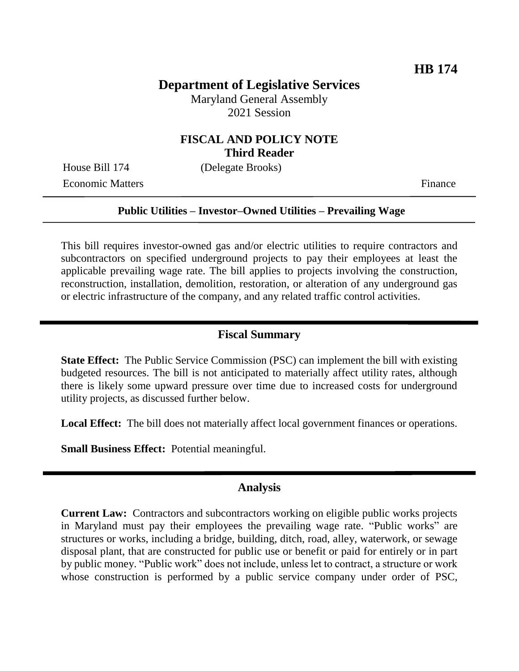# **Department of Legislative Services**

Maryland General Assembly 2021 Session

## **FISCAL AND POLICY NOTE Third Reader**

House Bill 174 (Delegate Brooks)

Economic Matters Finance

#### **Public Utilities – Investor–Owned Utilities – Prevailing Wage**

This bill requires investor-owned gas and/or electric utilities to require contractors and subcontractors on specified underground projects to pay their employees at least the applicable prevailing wage rate. The bill applies to projects involving the construction, reconstruction, installation, demolition, restoration, or alteration of any underground gas or electric infrastructure of the company, and any related traffic control activities.

#### **Fiscal Summary**

**State Effect:** The Public Service Commission (PSC) can implement the bill with existing budgeted resources. The bill is not anticipated to materially affect utility rates, although there is likely some upward pressure over time due to increased costs for underground utility projects, as discussed further below.

**Local Effect:** The bill does not materially affect local government finances or operations.

**Small Business Effect:** Potential meaningful.

#### **Analysis**

**Current Law:** Contractors and subcontractors working on eligible public works projects in Maryland must pay their employees the prevailing wage rate. "Public works" are structures or works, including a bridge, building, ditch, road, alley, waterwork, or sewage disposal plant, that are constructed for public use or benefit or paid for entirely or in part by public money. "Public work" does not include, unless let to contract, a structure or work whose construction is performed by a public service company under order of PSC,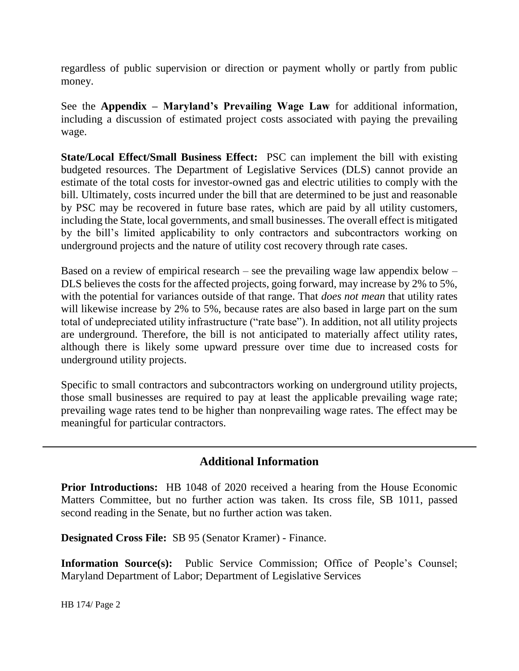regardless of public supervision or direction or payment wholly or partly from public money.

See the **Appendix – Maryland's Prevailing Wage Law** for additional information, including a discussion of estimated project costs associated with paying the prevailing wage.

**State/Local Effect/Small Business Effect:** PSC can implement the bill with existing budgeted resources. The Department of Legislative Services (DLS) cannot provide an estimate of the total costs for investor-owned gas and electric utilities to comply with the bill. Ultimately, costs incurred under the bill that are determined to be just and reasonable by PSC may be recovered in future base rates, which are paid by all utility customers, including the State, local governments, and small businesses. The overall effect is mitigated by the bill's limited applicability to only contractors and subcontractors working on underground projects and the nature of utility cost recovery through rate cases.

Based on a review of empirical research – see the prevailing wage law appendix below – DLS believes the costs for the affected projects, going forward, may increase by 2% to 5%, with the potential for variances outside of that range. That *does not mean* that utility rates will likewise increase by 2% to 5%, because rates are also based in large part on the sum total of undepreciated utility infrastructure ("rate base"). In addition, not all utility projects are underground. Therefore, the bill is not anticipated to materially affect utility rates, although there is likely some upward pressure over time due to increased costs for underground utility projects.

Specific to small contractors and subcontractors working on underground utility projects, those small businesses are required to pay at least the applicable prevailing wage rate; prevailing wage rates tend to be higher than nonprevailing wage rates. The effect may be meaningful for particular contractors.

# **Additional Information**

**Prior Introductions:** HB 1048 of 2020 received a hearing from the House Economic Matters Committee, but no further action was taken. Its cross file, SB 1011, passed second reading in the Senate, but no further action was taken.

**Designated Cross File:** SB 95 (Senator Kramer) - Finance.

**Information Source(s):** Public Service Commission; Office of People's Counsel; Maryland Department of Labor; Department of Legislative Services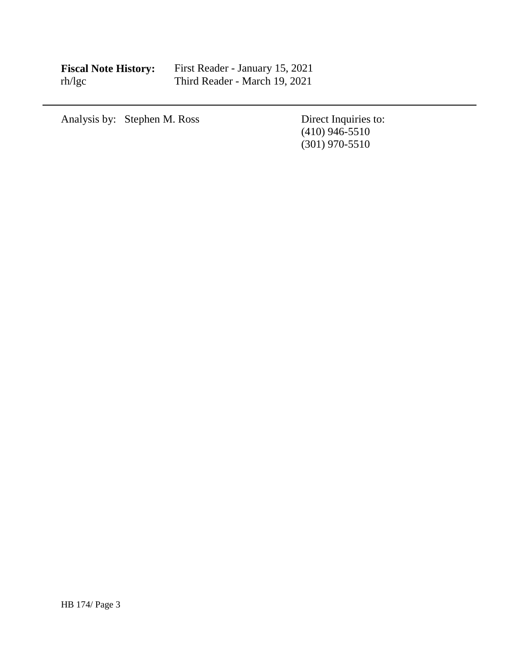| <b>Fiscal Note History:</b> | First Reader - January 15, 2021 |
|-----------------------------|---------------------------------|
| rh/lgc                      | Third Reader - March 19, 2021   |

Analysis by: Stephen M. Ross Direct Inquiries to:

(410) 946-5510 (301) 970-5510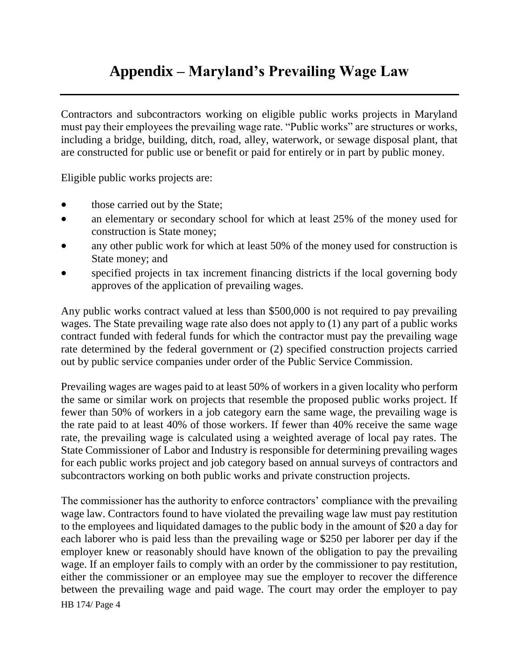# **Appendix – Maryland's Prevailing Wage Law**

Contractors and subcontractors working on eligible public works projects in Maryland must pay their employees the prevailing wage rate. "Public works" are structures or works, including a bridge, building, ditch, road, alley, waterwork, or sewage disposal plant, that are constructed for public use or benefit or paid for entirely or in part by public money.

Eligible public works projects are:

- those carried out by the State;
- an elementary or secondary school for which at least 25% of the money used for construction is State money;
- any other public work for which at least 50% of the money used for construction is State money; and
- specified projects in tax increment financing districts if the local governing body approves of the application of prevailing wages.

Any public works contract valued at less than \$500,000 is not required to pay prevailing wages. The State prevailing wage rate also does not apply to (1) any part of a public works contract funded with federal funds for which the contractor must pay the prevailing wage rate determined by the federal government or (2) specified construction projects carried out by public service companies under order of the Public Service Commission.

Prevailing wages are wages paid to at least 50% of workers in a given locality who perform the same or similar work on projects that resemble the proposed public works project. If fewer than 50% of workers in a job category earn the same wage, the prevailing wage is the rate paid to at least 40% of those workers. If fewer than 40% receive the same wage rate, the prevailing wage is calculated using a weighted average of local pay rates. The State Commissioner of Labor and Industry is responsible for determining prevailing wages for each public works project and job category based on annual surveys of contractors and subcontractors working on both public works and private construction projects.

HB 174/ Page 4 The commissioner has the authority to enforce contractors' compliance with the prevailing wage law. Contractors found to have violated the prevailing wage law must pay restitution to the employees and liquidated damages to the public body in the amount of \$20 a day for each laborer who is paid less than the prevailing wage or \$250 per laborer per day if the employer knew or reasonably should have known of the obligation to pay the prevailing wage. If an employer fails to comply with an order by the commissioner to pay restitution, either the commissioner or an employee may sue the employer to recover the difference between the prevailing wage and paid wage. The court may order the employer to pay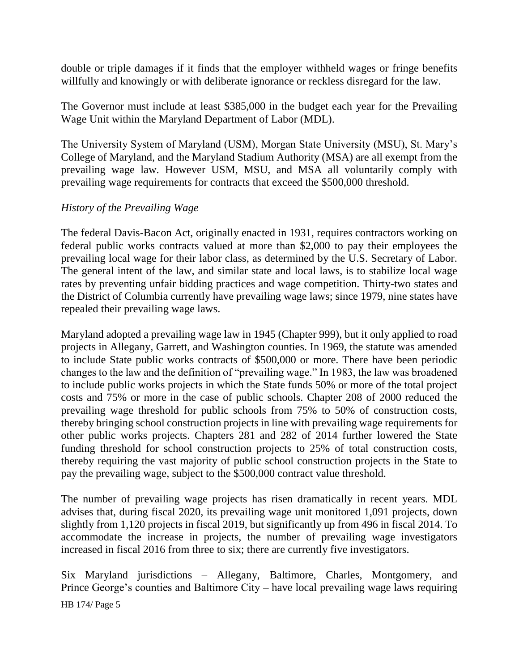double or triple damages if it finds that the employer withheld wages or fringe benefits willfully and knowingly or with deliberate ignorance or reckless disregard for the law.

The Governor must include at least \$385,000 in the budget each year for the Prevailing Wage Unit within the Maryland Department of Labor (MDL).

The University System of Maryland (USM), Morgan State University (MSU), St. Mary's College of Maryland, and the Maryland Stadium Authority (MSA) are all exempt from the prevailing wage law. However USM, MSU, and MSA all voluntarily comply with prevailing wage requirements for contracts that exceed the \$500,000 threshold.

## *History of the Prevailing Wage*

The federal Davis-Bacon Act, originally enacted in 1931, requires contractors working on federal public works contracts valued at more than \$2,000 to pay their employees the prevailing local wage for their labor class, as determined by the U.S. Secretary of Labor. The general intent of the law, and similar state and local laws, is to stabilize local wage rates by preventing unfair bidding practices and wage competition. Thirty-two states and the District of Columbia currently have prevailing wage laws; since 1979, nine states have repealed their prevailing wage laws.

Maryland adopted a prevailing wage law in 1945 (Chapter 999), but it only applied to road projects in Allegany, Garrett, and Washington counties. In 1969, the statute was amended to include State public works contracts of \$500,000 or more. There have been periodic changes to the law and the definition of "prevailing wage." In 1983, the law was broadened to include public works projects in which the State funds 50% or more of the total project costs and 75% or more in the case of public schools. Chapter 208 of 2000 reduced the prevailing wage threshold for public schools from 75% to 50% of construction costs, thereby bringing school construction projects in line with prevailing wage requirements for other public works projects. Chapters 281 and 282 of 2014 further lowered the State funding threshold for school construction projects to 25% of total construction costs, thereby requiring the vast majority of public school construction projects in the State to pay the prevailing wage, subject to the \$500,000 contract value threshold.

The number of prevailing wage projects has risen dramatically in recent years. MDL advises that, during fiscal 2020, its prevailing wage unit monitored 1,091 projects, down slightly from 1,120 projects in fiscal 2019, but significantly up from 496 in fiscal 2014. To accommodate the increase in projects, the number of prevailing wage investigators increased in fiscal 2016 from three to six; there are currently five investigators.

Six Maryland jurisdictions – Allegany, Baltimore, Charles, Montgomery, and Prince George's counties and Baltimore City – have local prevailing wage laws requiring

HB 174/ Page 5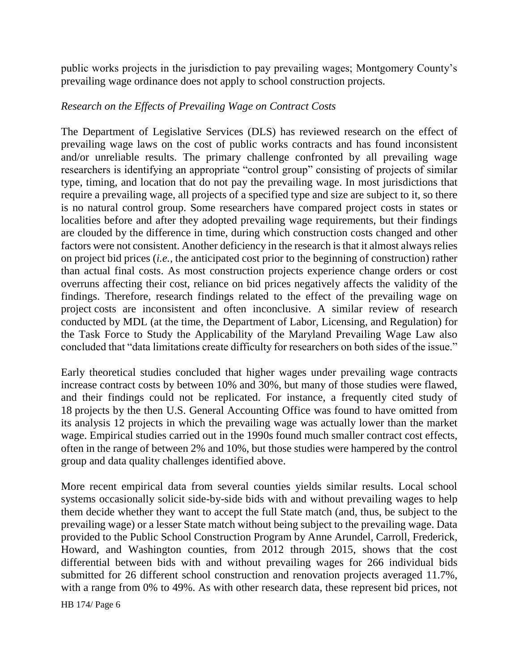public works projects in the jurisdiction to pay prevailing wages; Montgomery County's prevailing wage ordinance does not apply to school construction projects.

## *Research on the Effects of Prevailing Wage on Contract Costs*

The Department of Legislative Services (DLS) has reviewed research on the effect of prevailing wage laws on the cost of public works contracts and has found inconsistent and/or unreliable results. The primary challenge confronted by all prevailing wage researchers is identifying an appropriate "control group" consisting of projects of similar type, timing, and location that do not pay the prevailing wage. In most jurisdictions that require a prevailing wage, all projects of a specified type and size are subject to it, so there is no natural control group. Some researchers have compared project costs in states or localities before and after they adopted prevailing wage requirements, but their findings are clouded by the difference in time, during which construction costs changed and other factors were not consistent. Another deficiency in the research is that it almost always relies on project bid prices (*i.e.*, the anticipated cost prior to the beginning of construction) rather than actual final costs. As most construction projects experience change orders or cost overruns affecting their cost, reliance on bid prices negatively affects the validity of the findings. Therefore, research findings related to the effect of the prevailing wage on project costs are inconsistent and often inconclusive. A similar review of research conducted by MDL (at the time, the Department of Labor, Licensing, and Regulation) for the Task Force to Study the Applicability of the Maryland Prevailing Wage Law also concluded that "data limitations create difficulty for researchers on both sides of the issue."

Early theoretical studies concluded that higher wages under prevailing wage contracts increase contract costs by between 10% and 30%, but many of those studies were flawed, and their findings could not be replicated. For instance, a frequently cited study of 18 projects by the then U.S. General Accounting Office was found to have omitted from its analysis 12 projects in which the prevailing wage was actually lower than the market wage. Empirical studies carried out in the 1990s found much smaller contract cost effects, often in the range of between 2% and 10%, but those studies were hampered by the control group and data quality challenges identified above.

More recent empirical data from several counties yields similar results. Local school systems occasionally solicit side-by-side bids with and without prevailing wages to help them decide whether they want to accept the full State match (and, thus, be subject to the prevailing wage) or a lesser State match without being subject to the prevailing wage. Data provided to the Public School Construction Program by Anne Arundel, Carroll, Frederick, Howard, and Washington counties, from 2012 through 2015, shows that the cost differential between bids with and without prevailing wages for 266 individual bids submitted for 26 different school construction and renovation projects averaged 11.7%, with a range from 0% to 49%. As with other research data, these represent bid prices, not

HB 174/ Page 6